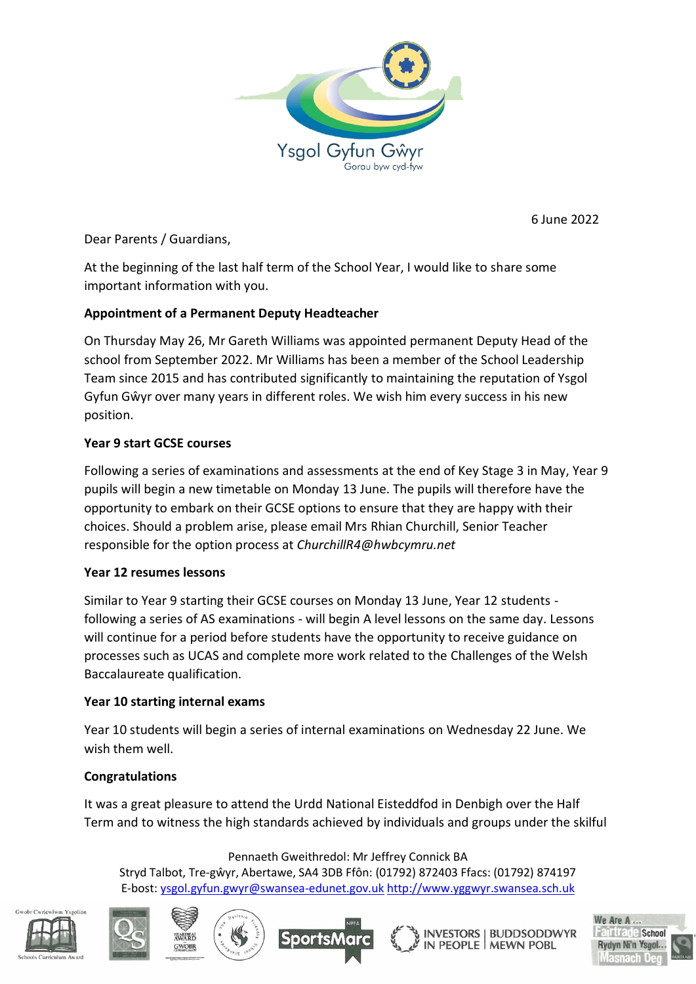

6 June 2022

Dear Parents / Guardians,

At the beginning of the last half term of the School Year, I would like to share some important information with you.

## **Appointment of a Permanent Deputy Headteacher**

On Thursday May 26, Mr Gareth Williams was appointed permanent Deputy Head of the school from September 2022. Mr Williams has been a member of the School Leadership Team since 2015 and has contributed significantly to maintaining the reputation of Ysgol Gyfun Gŵyr over many years in different roles. We wish him every success in his new position.

# **Year 9 start GCSE courses**

Following a series of examinations and assessments at the end of Key Stage 3 in May, Year 9 pupils will begin a new timetable on Monday 13 June. The pupils will therefore have the opportunity to embark on their GCSE options to ensure that they are happy with their choices. Should a problem arise, please email Mrs Rhian Churchill, Senior Teacher responsible for the option process at *ChurchillR4@hwbcymru.net*

## **Year 12 resumes lessons**

Similar to Year 9 starting their GCSE courses on Monday 13 June, Year 12 students following a series of AS examinations - will begin A level lessons on the same day. Lessons will continue for a period before students have the opportunity to receive guidance on processes such as UCAS and complete more work related to the Challenges of the Welsh Baccalaureate qualification.

## **Year 10 starting internal exams**

Year 10 students will begin a series of internal examinations on Wednesday 22 June. We wish them well.

## **Congratulations**

It was a great pleasure to attend the Urdd National Eisteddfod in Denbigh over the Half Term and to witness the high standards achieved by individuals and groups under the skilful

#### Pennaeth Gweithredol: Mr Jeffrey Connick BA

Stryd Talbot, Tre-gŵyr, Abertawe, SA4 3DB Ffôn: (01792) 872403 Ffacs: (01792) 874197 E-bost: [ysgol.gyfun.gwyr@swansea-edunet.gov.uk](mailto:ysgol.gyfun.gwyr@swansea-edunet.gov.uk) [http://www.yggwyr.swansea.sch.uk](http://www.yggwyr.swansea.sch.uk/)









**BUDDSODDWYR INVESTORS**